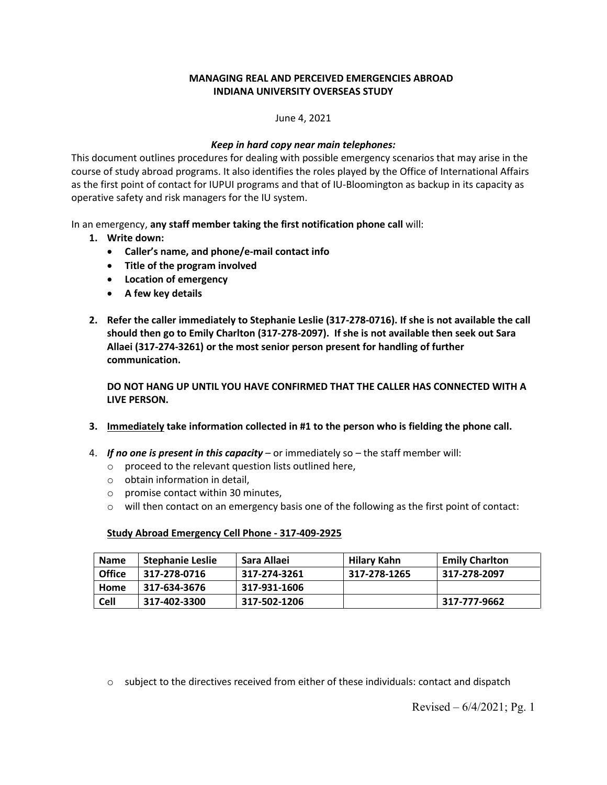# **MANAGING REAL AND PERCEIVED EMERGENCIES ABROAD INDIANA UNIVERSITY OVERSEAS STUDY**

June 4, 2021

## *Keep in hard copy near main telephones:*

This document outlines procedures for dealing with possible emergency scenarios that may arise in the course of study abroad programs. It also identifies the roles played by the Office of International Affairs as the first point of contact for IUPUI programs and that of IU-Bloomington as backup in its capacity as operative safety and risk managers for the IU system.

In an emergency, **any staff member taking the first notification phone call** will:

- **1. Write down:**
	- **Caller's name, and phone/e-mail contact info**
	- **Title of the program involved**
	- **Location of emergency**
	- **A few key details**
- **2. Refer the caller immediately to Stephanie Leslie (317-278-0716). If she is not available the call should then go to Emily Charlton (317-278-2097). If she is not available then seek out Sara Allaei (317-274-3261) or the most senior person present for handling of further communication.**

**DO NOT HANG UP UNTIL YOU HAVE CONFIRMED THAT THE CALLER HAS CONNECTED WITH A LIVE PERSON.** 

- **3. Immediately take information collected in #1 to the person who is fielding the phone call.**
- 4. *If no one is present in this capacity* or immediately so the staff member will:
	- o proceed to the relevant question lists outlined here,
	- o obtain information in detail,
	- o promise contact within 30 minutes,
	- $\circ$  will then contact on an emergency basis one of the following as the first point of contact:

#### **Study Abroad Emergency Cell Phone - 317-409-2925**

| <b>Name</b>   | Stephanie Leslie | Sara Allaei  | Hilary Kahn  | Emily Charlton |
|---------------|------------------|--------------|--------------|----------------|
| <b>Office</b> | 317-278-0716     | 317-274-3261 | 317-278-1265 | 317-278-2097   |
| Home          | 317-634-3676     | 317-931-1606 |              |                |
| Cell          | 317-402-3300     | 317-502-1206 |              | 317-777-9662   |

 $\circ$  subject to the directives received from either of these individuals: contact and dispatch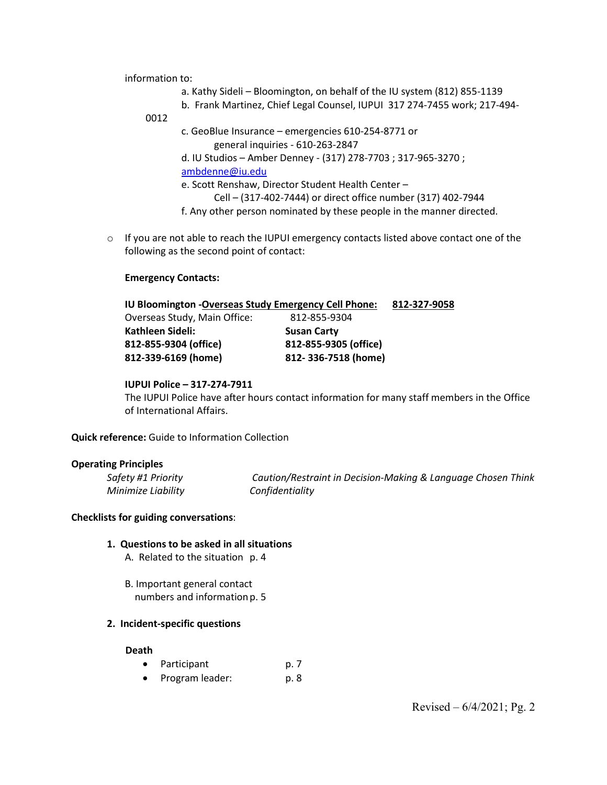information to:

- a. Kathy Sideli Bloomington, on behalf of the IU system (812) 855-1139
- b. Frank Martinez, Chief Legal Counsel, IUPUI 317 274-7455 work; 217-494-
- 0012

c. GeoBlue Insurance – emergencies 610-254-8771 or general inquiries - 610-263-2847

d. IU Studios – Amber Denney - (317) 278-7703 ; 317-965-3270 ; [ambdenne@iu.edu](mailto:ambdenne@iu.edu)

e. Scott Renshaw, Director Student Health Center –

Cell – (317-402-7444) or direct office number (317) 402-7944

- f. Any other person nominated by these people in the manner directed.
- $\circ$  If you are not able to reach the IUPUI emergency contacts listed above contact one of the following as the second point of contact:

### **Emergency Contacts:**

| IU Bloomington - Overseas Study Emergency Cell Phone: |  |  |  |  |
|-------------------------------------------------------|--|--|--|--|
| 812-855-9304                                          |  |  |  |  |
| <b>Susan Carty</b>                                    |  |  |  |  |
| 812-855-9305 (office)                                 |  |  |  |  |
| 812-336-7518 (home)                                   |  |  |  |  |
|                                                       |  |  |  |  |

### **IUPUI Police – 317-274-7911**

The IUPUI Police have after hours contact information for many staff members in the Office of International Affairs.

**Quick reference:** Guide to Information Collection

#### **Operating Principles**

*Minimize Liability Confidentiality*

*Safety #1 Priority Caution/Restraint in Decision-Making & Language Chosen Think* 

# **Checklists for guiding conversations**:

- **1. Questions to be asked in all situations**
	- A. Related to the situation p. 4
	- B. Important general contact numbers and information p. 5

#### **2. Incident-specific questions**

#### **Death**

- Participant p. 7
- Program leader: p. 8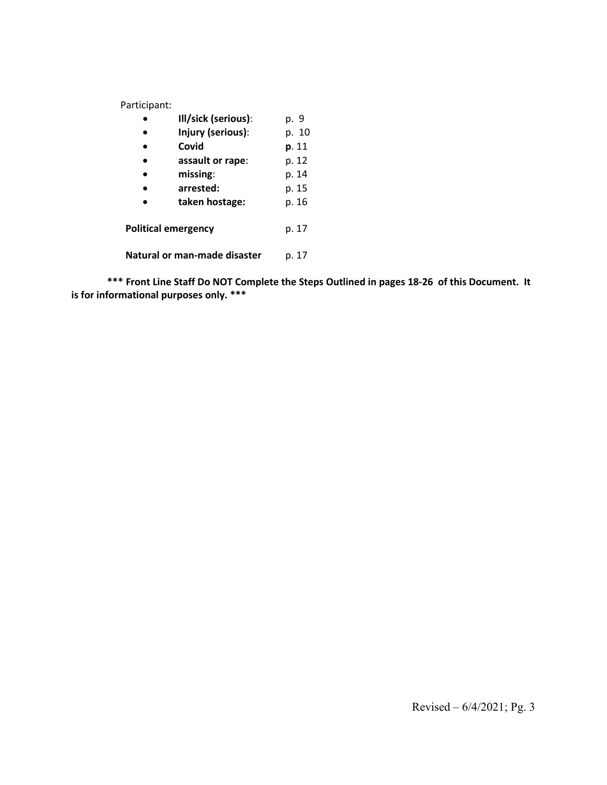Participant:

|                              | Ill/sick (serious): | p. 9  |
|------------------------------|---------------------|-------|
|                              | Injury (serious):   |       |
|                              | Covid               | p. 11 |
|                              | assault or rape:    | p. 12 |
|                              | missing:            | p. 14 |
|                              | arrested:           | p. 15 |
|                              | taken hostage:      | p. 16 |
| <b>Political emergency</b>   | p. 17               |       |
| Natural or man-made disaster |                     |       |

**\*\*\* Front Line Staff Do NOT Complete the Steps Outlined in pages 18-26 of this Document. It is for informational purposes only. \*\*\***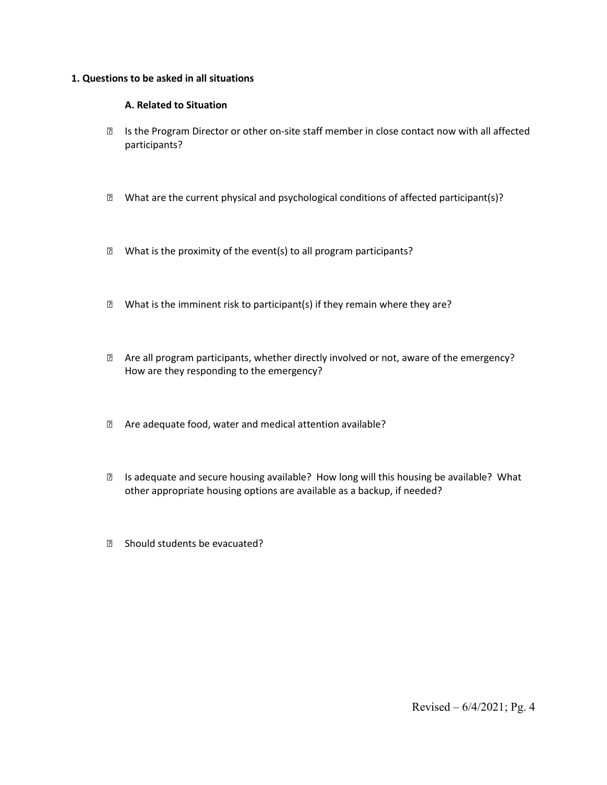### **1. Questions to be asked in all situations**

# **A. Related to Situation**

- Is the Program Director or other on-site staff member in close contact now with all affected participants?
- $\boxtimes$  What are the current physical and psychological conditions of affected participant(s)?
- $\mathbb D$  What is the proximity of the event(s) to all program participants?
- $\mathbb D$  What is the imminent risk to participant(s) if they remain where they are?
- **2** Are all program participants, whether directly involved or not, aware of the emergency? How are they responding to the emergency?
- Are adequate food, water and medical attention available?
- **■** Is adequate and secure housing available? How long will this housing be available? What other appropriate housing options are available as a backup, if needed?
- 8 Should students be evacuated?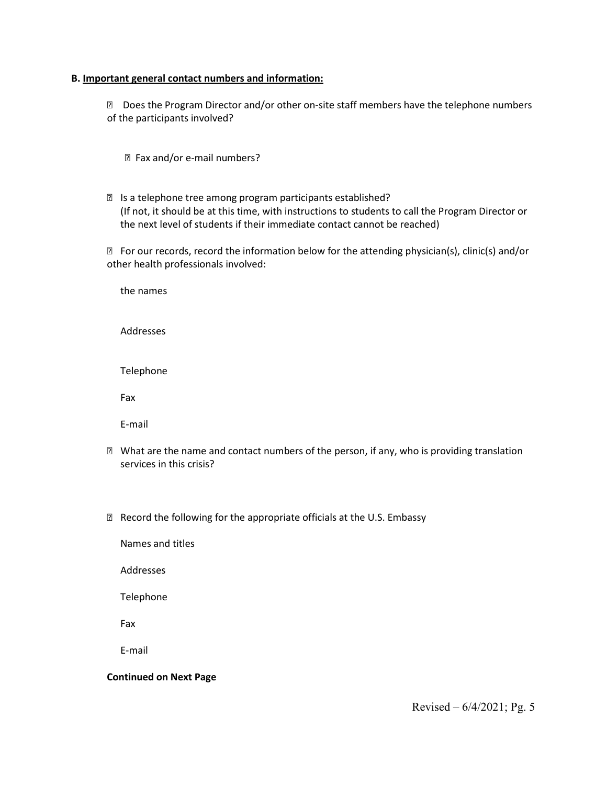#### **B. Important general contact numbers and information:**

**Does the Program Director and/or other on-site staff members have the telephone numbers** of the participants involved?

- Fax and/or e-mail numbers?
- Is a telephone tree among program participants established? (If not, it should be at this time, with instructions to students to call the Program Director or the next level of students if their immediate contact cannot be reached)

 For our records, record the information below for the attending physician(s), clinic(s) and/or other health professionals involved:

the names

Addresses

Telephone

Fax

E-mail

- $\boxtimes$  What are the name and contact numbers of the person, if any, who is providing translation services in this crisis?
- **Record the following for the appropriate officials at the U.S. Embassy**

Names and titles

Addresses

Telephone

Fax

E-mail

## **Continued on Next Page**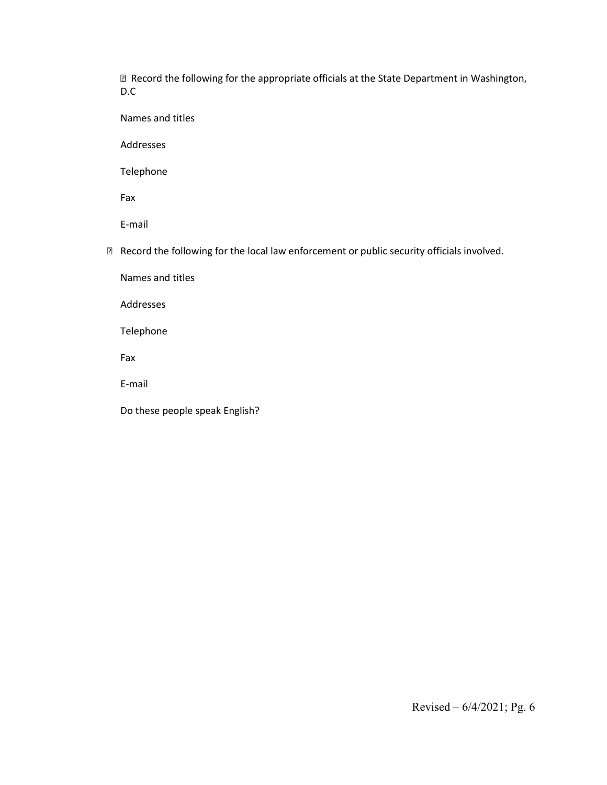Record the following for the appropriate officials at the State Department in Washington, D.C

Names and titles

Addresses

Telephone

Fax

E-mail

Record the following for the local law enforcement or public security officials involved.

Names and titles

Addresses

Telephone

Fax

E-mail

Do these people speak English?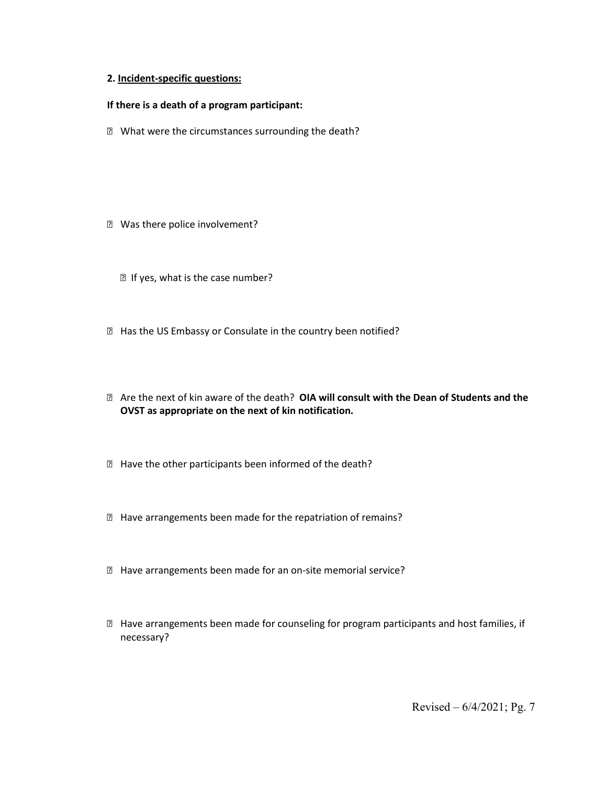#### **2. Incident-specific questions:**

#### **If there is a death of a program participant:**

**Z** What were the circumstances surrounding the death?

- **Z** Was there police involvement?
	- If yes, what is the case number?
- **E** Has the US Embassy or Consulate in the country been notified?
- Are the next of kin aware of the death? **OIA will consult with the Dean of Students and the OVST as appropriate on the next of kin notification.**
- Have the other participants been informed of the death?
- Have arrangements been made for the repatriation of remains?
- Have arrangements been made for an on-site memorial service?
- Have arrangements been made for counseling for program participants and host families, if necessary?

Revised – 6/4/2021; Pg. 7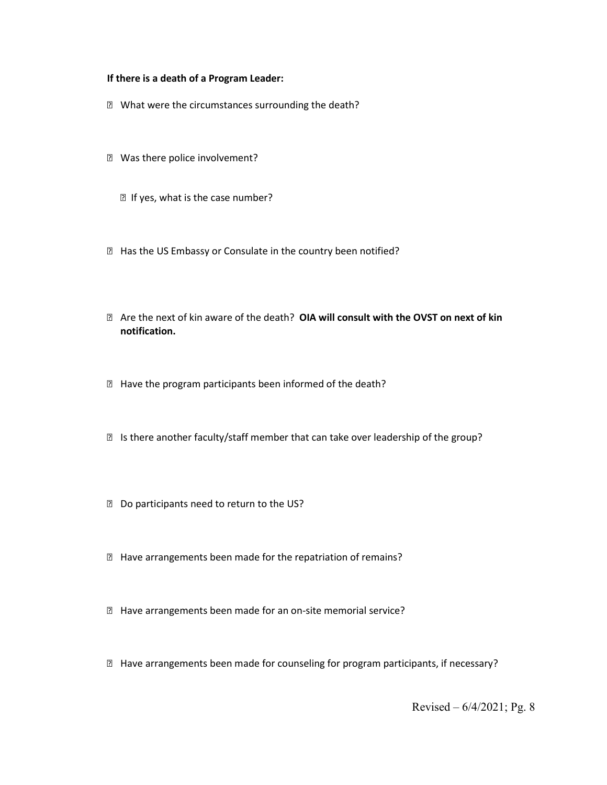#### **If there is a death of a Program Leader:**

- What were the circumstances surrounding the death?
- **Z** Was there police involvement?
	- If yes, what is the case number?
- **E** Has the US Embassy or Consulate in the country been notified?
- Are the next of kin aware of the death? **OIA will consult with the OVST on next of kin notification.**
- Have the program participants been informed of the death?
- Is there another faculty/staff member that can take over leadership of the group?
- Do participants need to return to the US?
- Have arrangements been made for the repatriation of remains?
- Have arrangements been made for an on-site memorial service?
- $\boxtimes$  Have arrangements been made for counseling for program participants, if necessary?

Revised – 6/4/2021; Pg. 8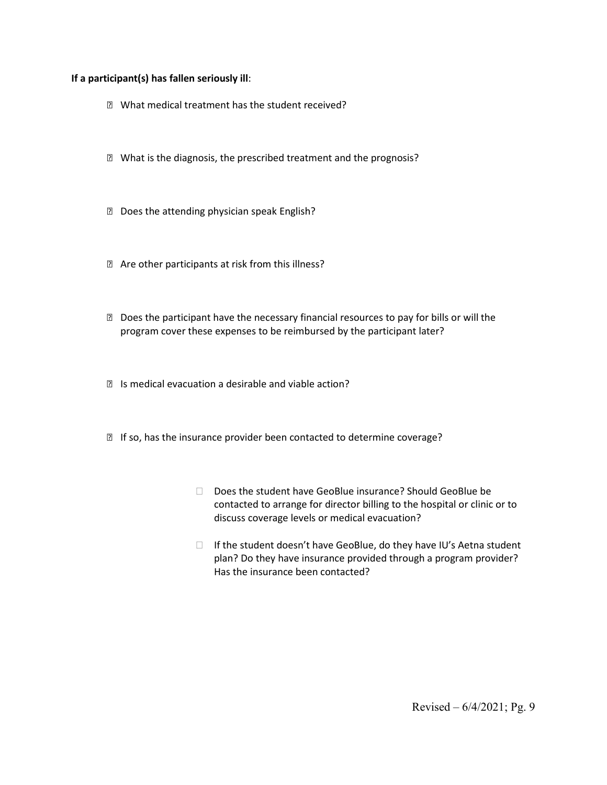### **If a participant(s) has fallen seriously ill**:

- What medical treatment has the student received?
- What is the diagnosis, the prescribed treatment and the prognosis?
- **Does the attending physician speak English?**
- Are other participants at risk from this illness?
- Does the participant have the necessary financial resources to pay for bills or will the program cover these expenses to be reimbursed by the participant later?
- Is medical evacuation a desirable and viable action?
- **■** If so, has the insurance provider been contacted to determine coverage?
	- Does the student have GeoBlue insurance? Should GeoBlue be contacted to arrange for director billing to the hospital or clinic or to discuss coverage levels or medical evacuation?
	- $\Box$  If the student doesn't have GeoBlue, do they have IU's Aetna student plan? Do they have insurance provided through a program provider? Has the insurance been contacted?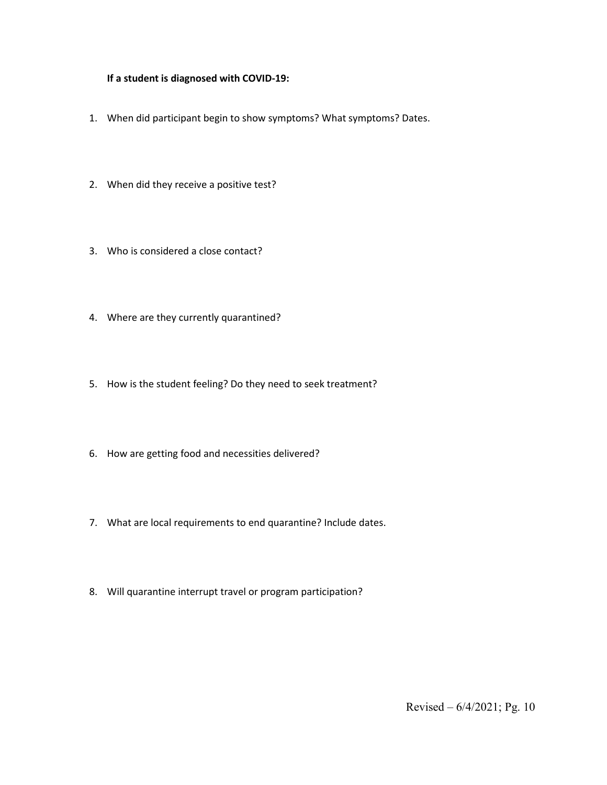## **If a student is diagnosed with COVID-19:**

- 1. When did participant begin to show symptoms? What symptoms? Dates.
- 2. When did they receive a positive test?
- 3. Who is considered a close contact?
- 4. Where are they currently quarantined?
- 5. How is the student feeling? Do they need to seek treatment?
- 6. How are getting food and necessities delivered?
- 7. What are local requirements to end quarantine? Include dates.
- 8. Will quarantine interrupt travel or program participation?

Revised – 6/4/2021; Pg. 10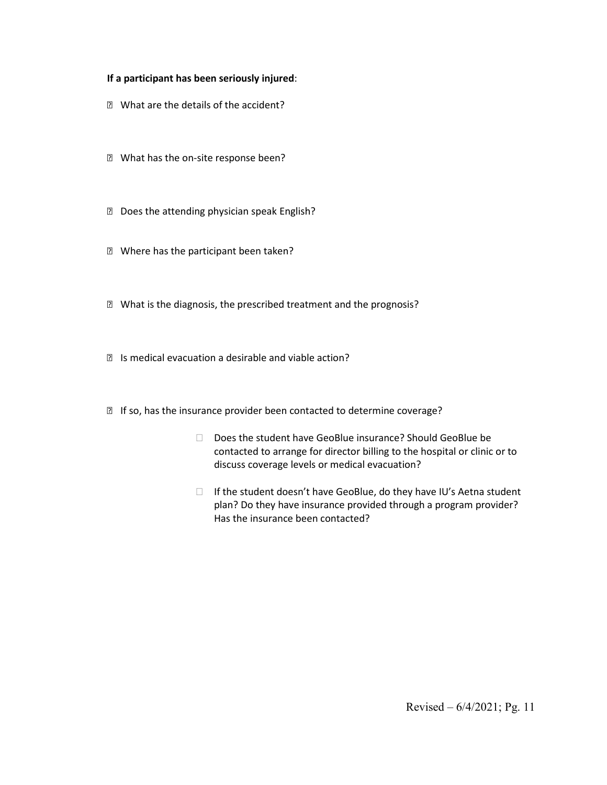## **If a participant has been seriously injured**:

- **Z** What are the details of the accident?
- **Z** What has the on-site response been?
- Does the attending physician speak English?
- **Z** Where has the participant been taken?
- What is the diagnosis, the prescribed treatment and the prognosis?
- Is medical evacuation a desirable and viable action?
- **■** If so, has the insurance provider been contacted to determine coverage?
	- Does the student have GeoBlue insurance? Should GeoBlue be contacted to arrange for director billing to the hospital or clinic or to discuss coverage levels or medical evacuation?
	- $\Box$  If the student doesn't have GeoBlue, do they have IU's Aetna student plan? Do they have insurance provided through a program provider? Has the insurance been contacted?

Revised – 6/4/2021; Pg. 11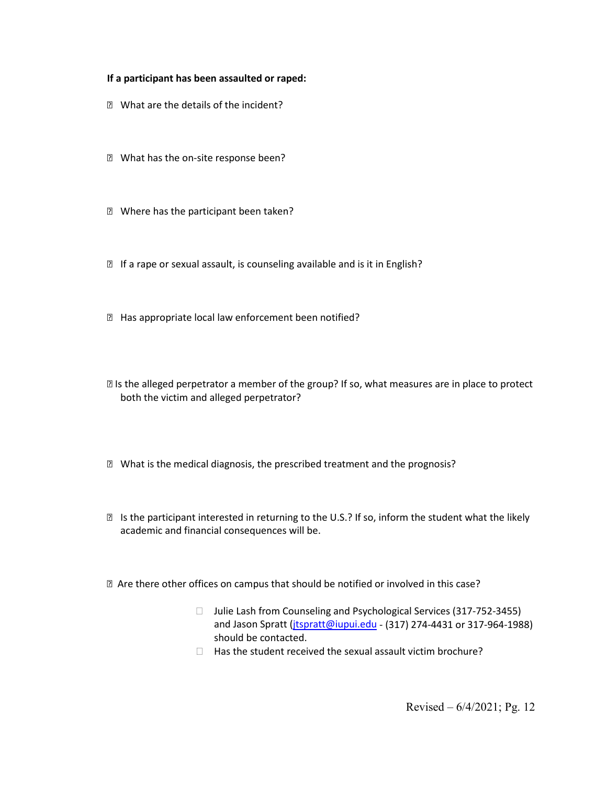#### **If a participant has been assaulted or raped:**

- **Z** What are the details of the incident?
- **Z** What has the on-site response been?
- **Z** Where has the participant been taken?
- **■** If a rape or sexual assault, is counseling available and is it in English?
- **E** Has appropriate local law enforcement been notified?
- Is the alleged perpetrator a member of the group? If so, what measures are in place to protect both the victim and alleged perpetrator?
- What is the medical diagnosis, the prescribed treatment and the prognosis?
- **sqrt8** Is the participant interested in returning to the U.S.? If so, inform the student what the likely academic and financial consequences will be.
- Are there other offices on campus that should be notified or involved in this case?
	- □ Julie Lash from Counseling and Psychological Services (317-752-3455) and Jason Spratt (*jtspratt@iupui.edu* - (317) 274-4431 or 317-964-1988) should be contacted.
	- $\Box$  Has the student received the sexual assault victim brochure?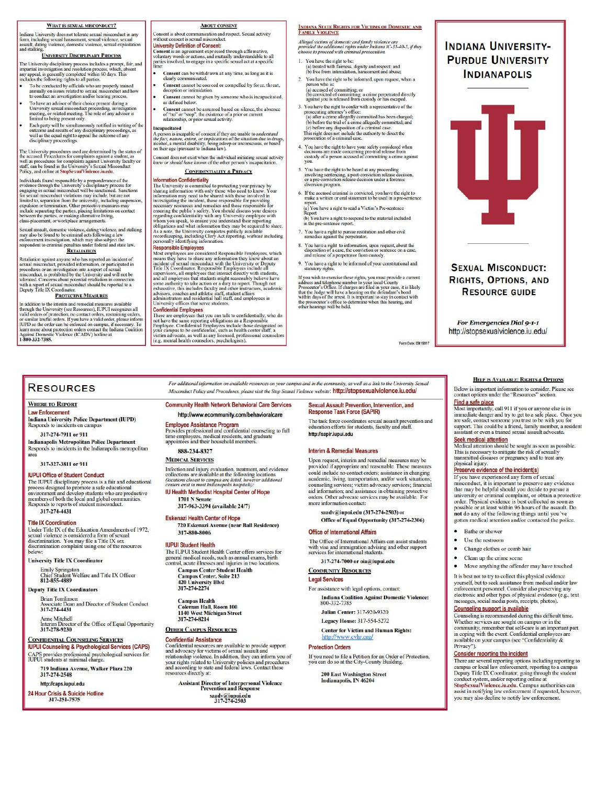#### WHAT IS SEXUAL MISCONDUCT?

**WHAT IS SEXUAL MISCONDUCT**<br>Indiana University does not tolerate sexual misconduct in any<br>form, including sexual harassment, sexual violence, sexual<br>and stalking, violence, domestic violence, sexual exploitation<br>and stalki

#### **UNIVERSITY DISCIPLINARY PROCESS**

The University disciplinary process includes a prompt, fair, and impartial investigation and resolution process, which, absent any appeal, is generally completed within 60 days. This includes the following rights to all p

- To be conducted by officials who are properly trained<br>annually on issues related to sexual misconduct and he<br>to conduct an investigation and/or hearing process.
- To have an advisor of their choice present during a For the disconduct procedure and the University sexual misconduct proceeding, investigation<br>meeting, or related meeting. The role of any advisor is<br>limited to being present only.

# analise to compression control.<br>Each party will be simultaneously notified in writing of the<br>outcome and results of any disciplinary proceedings, as<br>well as the equal right to appeal the outcome of any<br>disciplinary proceed

The University procedures used are determined by the status of<br>the accused. Procedures for complaints against a student, as<br>well as procedures for complaints against University faculty or<br>staff, can be found in the Univer

Folicy, and office and suppressimity to prefere ancena.<br>
Horividuals found responsible by a preponderance of the<br>
Horividuals found this conductival is excelled to the excellence through the University's disseplinary proce

Sexual assault, domestic violence, dating violence, and stalking<br>may also be found to be criminal acts following a law<br>enforcement investigation, which may also subject the<br>respondent to criminal penalties under federal an

#### **RETALIATION**

Retaliation against anyone who has reported an incident of<br>sexual misconduct, provided information, or participated in<br>procedures or an investigation into a report of sexual<br>misconduct, is prohibited by the University and

#### **PROTECTIVE MEASURES**

In addition to the interim and remedial measures available<br>through the University (see Resources), IUPUI recognizes all<br>valid orders of protection, no contact orders, restraining orders,<br>or similar lawful orders. If you h **Against Domestic**<br>**1-800-332-7385.** 

#### **ABOUT CONSENT**

Consent is about communication and respect. Sexual activity<br>without consent is sexual misconduct.<br>University Definition of Consent: **University Definition of Consent:**<br> **Consent** is an agreement expressed through affirmative,<br>
voluntary words or actions, and mutually understandable to all<br>
parties involved, to engage in a specific sexual act at a speci

- Consent can be withdrawn at any time, as long as it is<br>learly communicated.
- Consent cannot be coerced or compelled by force, threat, deception or intimidation
- **Consent** cannot be given by someone who is incapacitated, as defined below. **Consent** cannot be assumed based on silence, the absence<br>of "no" or "stop", the existence of a prior or current
- of "no" or "stop", the existence of a prior or current<br>relationship, or prior sexual activity.

Incapacitated **Incapacitated**<br> **A person is incapable of consent if they are unable to** *understand***<br>**  $A p_c p_c q_{cL}$  **nature; extent, or** *implications* **of the situation due to drugs<br>
alcohol, a mental disability, being askep or unconscious** 

Sonsent does not exist when the individual initiating sexual activity<br>new or should have known of the other person's incapacitation.

**CONFIDENTIALITY & PRIVACY** 

**Information Conflict Transform CONFIDENT AND A TRIVACY**<br> **CONFIDENTIFY & PRIVACY**<br>
The University is committed to protecting your privacy by a<br>sharing information with only those who need to be shared with those involved

personally identifying information.<br>Responsible Employees, which Responsible Employees are considered Responsible Employees, which means they have to sohare any information they know about an incident of sexual misconduct

#### **Confidential Employees**

There are employees that you can talk to confidentially, who do There are emproyes tant you can nate to connonatumy, who used not have the same reporting obligations as a Responsible Employee. Confidential Employees include those designated on your campus to be confidential, such as he

### **INDIANA STATE RIGHTS FOR VICTIMS OF DOMESTIC AND<br>FAMILY VIOLENCE**

Alleged victims of domestic and family violence are<br>provided the additional rights under Indiana IC-35-40-5, if they<br>choose to proceed with criminal prosecution.

- 1. You have the right to be: (a) treated with fairness, dignity and respect; and<br>(b) free from intimidation, harassment and abuse;
- 2. You have the right to be informed, upon request, when a
- person who is:<br>
(a) accused of committing; or<br>
(b) convicted of committing; a crime perpetrated directly<br>
against you is released from custody or has escaped.
- Solution that the content of the property of the presentative of the proceduring attorney's office:<br>(a) the ne crime allegedly committed has been charged;<br>(a) the ra crime allegedly committed, and (c) before the trial of
- 4. You have the right to have your safety considered when decisions are made concerning pre-trial release from custody of a person accused of committing a crime against VOU.
- 5. You have the right to be heard at any proceeding<br>involving sentencing, a post-conviction release decision,<br>or a pre-conviction release decision under a forensic<br>diversion program.
- 6. If the accused criminal is convicted, you have the right to make a written or oral statement to be used in a pre-senter
- (a) You have a right to read a Victim's Pre-sentence (b) You have a right to respond to the material included

in the pre-sentence report

- 7. You have a right to pursue restitution and other civil remedies against the perpetrator.
- 8. You have a right to information, upon request, about the disposition of a case, the conviction or sentence on a case, and release of a perpetrator from custody.
- 9. You have a right to be informed of your constitutional and statutory rights.

If you wish to exercise these rights, you must provide a current address and telephone number to your local County . The prosecutor's Office. If charges are filed in your case, it is likely that the Judge will have a hear

m Date: 09/19//17

#### **RESOURCES**

#### **WHERE TO REPORT**

**Law Enforcement Indiana University Police Department (IUPD)** Responds to incidents on campus

317-274-7911 or 911

**Indianapolis Metropolitan Police Department**<br>Responds to incidents in the Indianapolis metropolitan area

317-327-3811 or 911

#### **IUPUI Office of Student Conduct**

**IDPUT UNIED OF SURFACE TO STATE THE THE STATE OF THE IUPUT disciplinary process is a fair and educational process designed to promote a safe educational moder proportionment and develop student members of both the local a** 317-274-4431

**Title IX Coordination** Under Title IX of the Education Amendments of 1972, Sexual violence is considered a form of sexual<br>discrimination. You may file a Title IX sex<br>discrimination. You may file a Title IX sex<br>discrimination complaint using one of the resources **below** 

**University Title IX Coordinator** 

Easily Springston<br>Enity Springston<br>Chief Student Welfare and Title IX Officer<br>812-855-4889

#### **Deputy Title IX Coordinators**

**Brian Tomlinson** te Dean and Director of Student Conduct Associate Dea<br>317-274-4431

Anne Mitchell<br>Interim Director of the Office of Equal Opportunity<br>317-278-9230

#### **CONFIDENTIAL COUNSELING SERVICES**

**IUPUI Counseling & Psychological Services (CAPS)** CAPS provides professional psychological services for IUPUI students at minimal charge.

719 Indiana Avenue, Walker Plaza 220 317-274-2548

http://caps.iupui.edu

24 Hour Crisis & Suicide Hotline<br>317-251-7575

Misconduct Policy and Procedures, please visit the Stop Sexual Violence website: http://stopsexualviolence.iu.edu/ **Community Health Network Behavioral Care Services** 

For additional information on available resources on your campus and in the community, as well as a link to the University Sexual

#### http://www.ecommunity.com/behavioralcare

**Employee Assistance Program** 

# **Employee Assistance Program**<br>Provides professional and confidential counseling to full<br>time employees, medical residents, and graduate<br>appointees and their household members.

#### 888-234-8327 **MEDICAL SERVICES**

Infection and injury evaluation, treatment, and evidence<br>collections are available at the following locations concernois are available at the following locations<br>(locations closest to campus are listed, however additional<br>centers exist in most Indianapolis hospitals): **IU Health Methodist Hospital Center of Hope** 1701 N Senate

#### 317-963-3394 (available 24/7)

**Eskenazi Health Center of Hope** 

720 Eskenazi Avenue (near Ball Residence) 317-880-8006

#### **IUPUI Student Health**

For UPUI Student Health Center offers services for<br>general medical needs, such as annual exams, birth<br>control, acute illnesses and injuries in two locations.

**Campus Center Student Health<br>Campus Center, Suite 213<br>420 University Blvd<br>317-274-2274** 

Campus Health<br>Coleman Hall, Room 100<br>1140 West Michigan Street 317-274-8214

#### **OTHER CAMPUS RESOURCES**

#### **Confidential Assistance**

**Confidential Assistance**<br> **Confidential resources are available to provide support**<br>
and advocacy for victims of sexual assault and<br>
relationship violence. In addition, they can inform you of<br>
your rights related to Unive

**Assistant Director of Interpersonal Violence<br>Prevention and Response** saadv@iupui.edu<br>317-274-2503

Sexual Assault Prevention, Intervention, and Response Task Force (SAPIR)

The task force coordinates sexual assault prevention and ducation efforts for students, faculty and staff. http://sapir.jupuj.edu

#### **Interim & Remedial Measures**

Upon request, interim and remedial measures may be provided if appropriate and reasonable. These measures could include no contact orders: assistance in changing academic, living, transportation, and/or work situations;<br>counseling services; victim advocacy services; financial aid information; and assistance in obtaining protective<br>orders. Other advocate services may be available. For more information contact:

saadv@iupui.edu (317-274-2503) or Office of Equal Opportunity (317-274-2306)

#### **Office of International Affairs**

The Office of International Affairs can assist students<br>with visa and immigration advising and other support<br>services for international students.

317-274-7000 or oja@jupui.edu

#### **COMMUNITY RESOURCES Legal Services**

For assistance with legal options, contact: **Indiana Coalition Against Domestic Violence:** 800-332-7385

**Julian Center: 317-920-9320** Legacy House: 317-554-5272

**Center for Victim and Human Rights:** http://www.cvhr.org/

#### **Protection Orders**

If you need to file a Petition for an Order of Protection,<br>you can do so at the City-County Building.

Revised – 6/4/2021; Pg. 13

Privacy").

200 East Washington Street<br>Indianapolis, IN 46204

# **INDIANA UNIVERSITY-PURDUE UNIVERSITY INDIANAPOLIS**

**SEXUAL MISCONDUCT:** 

RIGHTS, OPTIONS, AND **RESOURCE GUIDE** 

For Emergencies Dial 9-1-1 http://stopsexualviolence.iu.edu/

HELP IS AVAILABLE: RIGHTS & OPTIONS

**Find a safe place**<br> **Find a safe place**<br> **Most importantly**, call 911 if you or anyone else is in<br>
immediate danger and try to get to a safe place. Once you<br>
are safe, contact someone you trust to be with you for<br>
asympte

Seek medical attention<br>Medical attention should be sought as soon as possible.

and the order. Physical evidence is best collected as soon as<br>possible or at least within 96 hours of the assault. Do<br>not do any of the following things until you've

gotten medical attention and/or contacted the police.

Move anything the offender may have touched

yourself, but to seek assistance from medical and/or law<br>enforcement personnel. Consider also preserving any

electronic and other types of physical evidence (e.g., text

Counseling is recommended during this difficult time.

available on your campus (see "Confidentiality &

Sources are sought on campus or in the<br>community, remember that self-care is an important part<br>in coping with the event. Confidential employees are

There are several reporting options including reporting to<br>campus or local law enforcement, reporting to a campus<br>Deputy Title IX Coordinator, going through the student

conduct system, and/or reporting online at<br>StopSexualViolence.iu.edu. Campus authorities can<br>assist in notifying law enforcement if requested, however,

you may also decline to notify law enforcement.

It is best not to try to collect this physical evidence

messages, social media posts, receipts, photos).

This is necessary to mitigate the risk of sexually<br>transmitted diseases or pregnancy and to treat any

Preserve evidence of the incident(s)

If you have experienced any form of sexual in socialized to preserve any evidence<br>that may be helpful should you decide to pursue a<br>university or criminal complaint, or obtain a protective

physical injury.

**Bathe** or shower

Use the restroom

Change clothes or comb hair

Clean up the crime scene

Counseling support is available

**Consider reporting the incident** 

Below is important information to consider. Please see

contact options under the "Resources" section.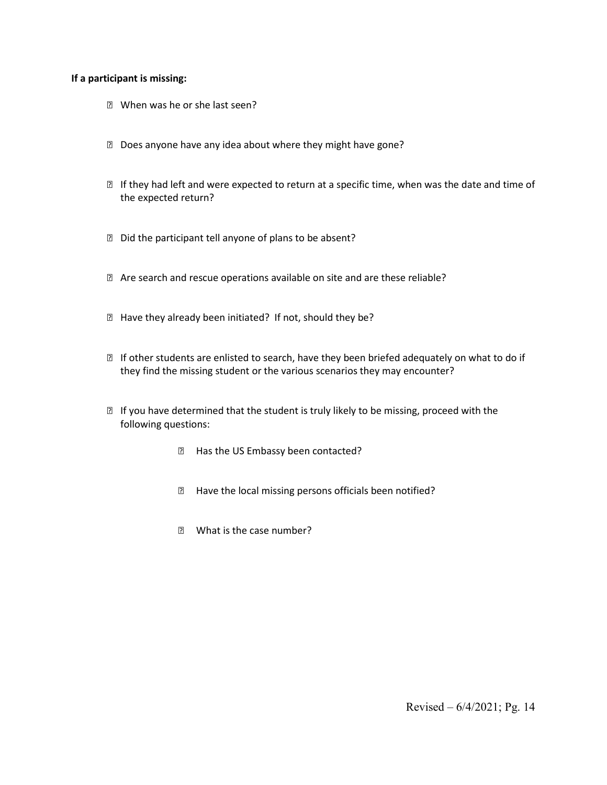## **If a participant is missing:**

- **Z** When was he or she last seen?
- Does anyone have any idea about where they might have gone?
- If they had left and were expected to return at a specific time, when was the date and time of the expected return?
- D Did the participant tell anyone of plans to be absent?
- Are search and rescue operations available on site and are these reliable?
- **E** Have they already been initiated? If not, should they be?
- If other students are enlisted to search, have they been briefed adequately on what to do if they find the missing student or the various scenarios they may encounter?
- $\mathbb D$  If you have determined that the student is truly likely to be missing, proceed with the following questions:
	- **Elack Has the US Embassy been contacted?**
	- **E** Have the local missing persons officials been notified?
	- **E** What is the case number?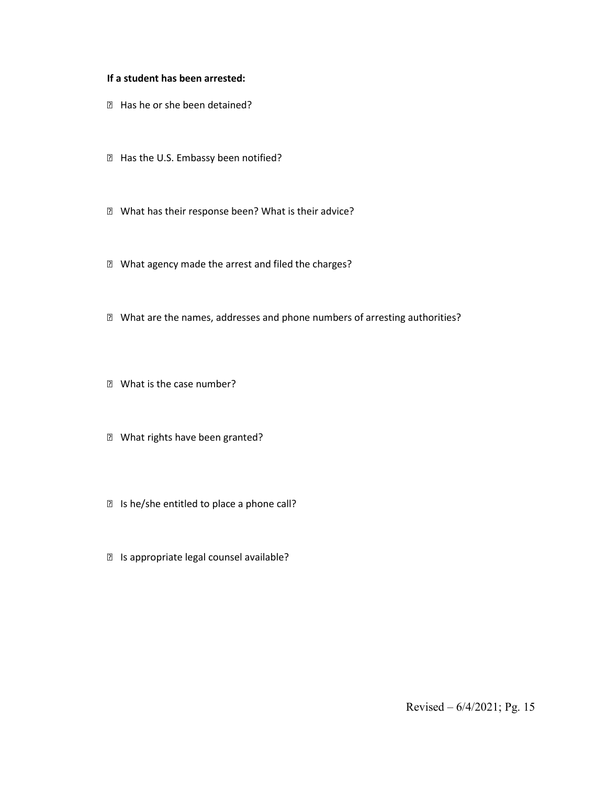# **If a student has been arrested:**

- **E** Has he or she been detained?
- **E** Has the U.S. Embassy been notified?
- What has their response been? What is their advice?
- What agency made the arrest and filed the charges?
- What are the names, addresses and phone numbers of arresting authorities?
- **Z** What is the case number?
- What rights have been granted?
- Is he/she entitled to place a phone call?
- Is appropriate legal counsel available?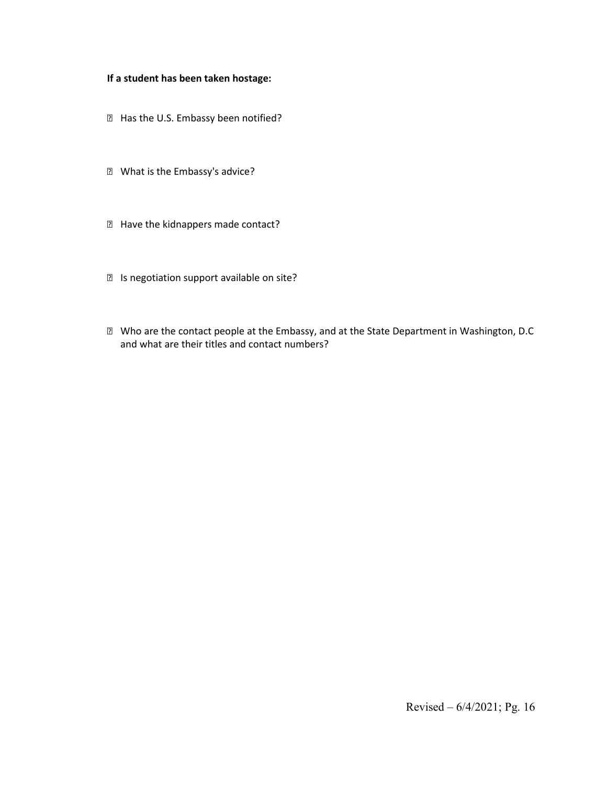## **If a student has been taken hostage:**

- **E** Has the U.S. Embassy been notified?
- What is the Embassy's advice?
- Have the kidnappers made contact?
- Is negotiation support available on site?
- Who are the contact people at the Embassy, and at the State Department in Washington, D.C and what are their titles and contact numbers?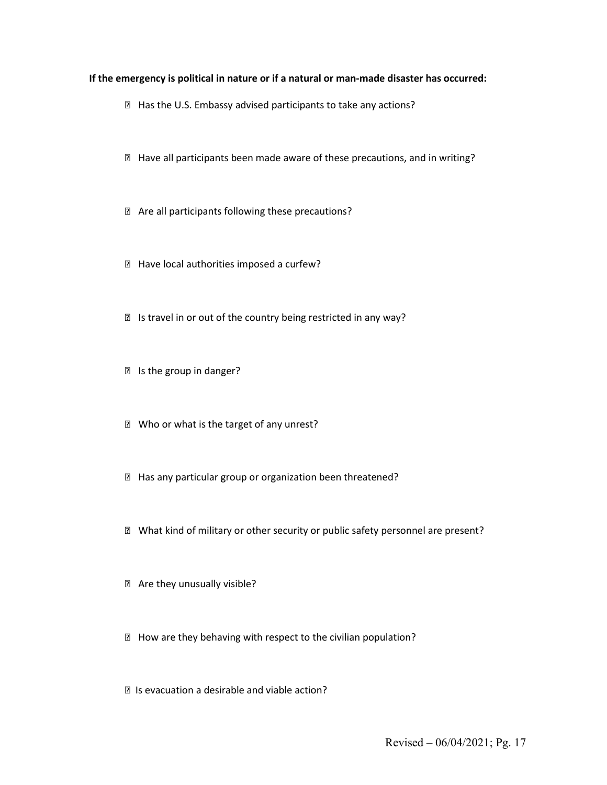#### **If the emergency is political in nature or if a natural or man-made disaster has occurred:**

- **E** Has the U.S. Embassy advised participants to take any actions?
- Have all participants been made aware of these precautions, and in writing?
- Are all participants following these precautions?
- **E** Have local authorities imposed a curfew?
- Is travel in or out of the country being restricted in any way?
- Is the group in danger?
- **Z** Who or what is the target of any unrest?
- Has any particular group or organization been threatened?
- What kind of military or other security or public safety personnel are present?
- Are they unusually visible?
- How are they behaving with respect to the civilian population?
- Is evacuation a desirable and viable action?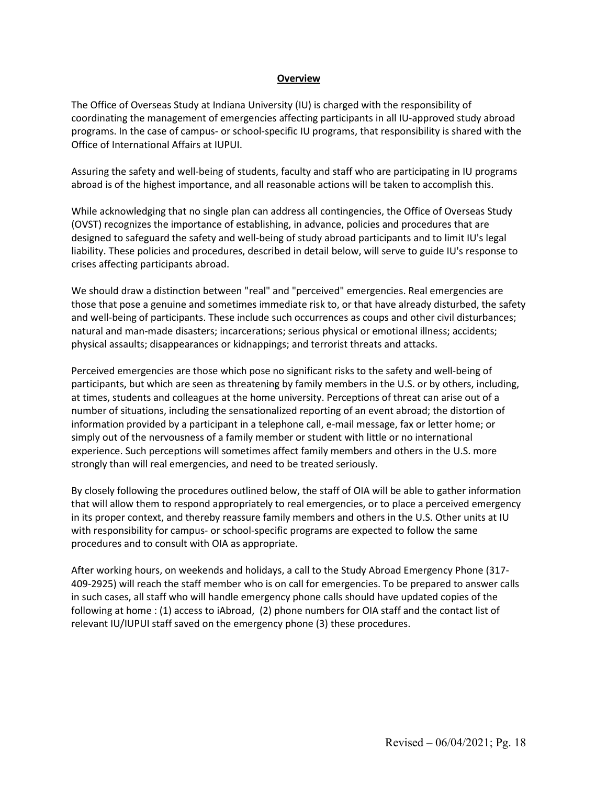### **Overview**

The Office of Overseas Study at Indiana University (IU) is charged with the responsibility of coordinating the management of emergencies affecting participants in all IU-approved study abroad programs. In the case of campus- or school-specific IU programs, that responsibility is shared with the Office of International Affairs at IUPUI.

Assuring the safety and well-being of students, faculty and staff who are participating in IU programs abroad is of the highest importance, and all reasonable actions will be taken to accomplish this.

While acknowledging that no single plan can address all contingencies, the Office of Overseas Study (OVST) recognizes the importance of establishing, in advance, policies and procedures that are designed to safeguard the safety and well-being of study abroad participants and to limit IU's legal liability. These policies and procedures, described in detail below, will serve to guide IU's response to crises affecting participants abroad.

We should draw a distinction between "real" and "perceived" emergencies. Real emergencies are those that pose a genuine and sometimes immediate risk to, or that have already disturbed, the safety and well-being of participants. These include such occurrences as coups and other civil disturbances; natural and man-made disasters; incarcerations; serious physical or emotional illness; accidents; physical assaults; disappearances or kidnappings; and terrorist threats and attacks.

Perceived emergencies are those which pose no significant risks to the safety and well-being of participants, but which are seen as threatening by family members in the U.S. or by others, including, at times, students and colleagues at the home university. Perceptions of threat can arise out of a number of situations, including the sensationalized reporting of an event abroad; the distortion of information provided by a participant in a telephone call, e-mail message, fax or letter home; or simply out of the nervousness of a family member or student with little or no international experience. Such perceptions will sometimes affect family members and others in the U.S. more strongly than will real emergencies, and need to be treated seriously.

By closely following the procedures outlined below, the staff of OIA will be able to gather information that will allow them to respond appropriately to real emergencies, or to place a perceived emergency in its proper context, and thereby reassure family members and others in the U.S. Other units at IU with responsibility for campus- or school-specific programs are expected to follow the same procedures and to consult with OIA as appropriate.

After working hours, on weekends and holidays, a call to the Study Abroad Emergency Phone (317- 409-2925) will reach the staff member who is on call for emergencies. To be prepared to answer calls in such cases, all staff who will handle emergency phone calls should have updated copies of the following at home : (1) access to iAbroad, (2) phone numbers for OIA staff and the contact list of relevant IU/IUPUI staff saved on the emergency phone (3) these procedures.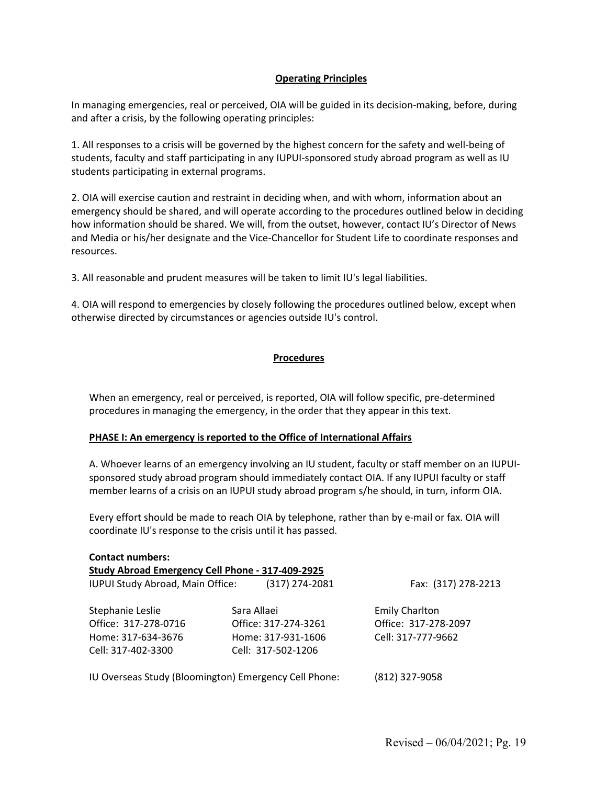# **Operating Principles**

In managing emergencies, real or perceived, OIA will be guided in its decision-making, before, during and after a crisis, by the following operating principles:

1. All responses to a crisis will be governed by the highest concern for the safety and well-being of students, faculty and staff participating in any IUPUI-sponsored study abroad program as well as IU students participating in external programs.

2. OIA will exercise caution and restraint in deciding when, and with whom, information about an emergency should be shared, and will operate according to the procedures outlined below in deciding how information should be shared. We will, from the outset, however, contact IU's Director of News and Media or his/her designate and the Vice-Chancellor for Student Life to coordinate responses and resources.

3. All reasonable and prudent measures will be taken to limit IU's legal liabilities.

4. OIA will respond to emergencies by closely following the procedures outlined below, except when otherwise directed by circumstances or agencies outside IU's control.

# **Procedures**

When an emergency, real or perceived, is reported, OIA will follow specific, pre-determined procedures in managing the emergency, in the order that they appear in this text.

# **PHASE I: An emergency is reported to the Office of International Affairs**

A. Whoever learns of an emergency involving an IU student, faculty or staff member on an IUPUIsponsored study abroad program should immediately contact OIA. If any IUPUI faculty or staff member learns of a crisis on an IUPUI study abroad program s/he should, in turn, inform OIA.

Every effort should be made to reach OIA by telephone, rather than by e-mail or fax. OIA will coordinate IU's response to the crisis until it has passed.

| <b>Contact numbers:</b>                               |                |                      |                       |  |  |  |  |  |
|-------------------------------------------------------|----------------|----------------------|-----------------------|--|--|--|--|--|
| Study Abroad Emergency Cell Phone - 317-409-2925      |                |                      |                       |  |  |  |  |  |
| IUPUI Study Abroad, Main Office:                      |                | $(317)$ 274-2081     | Fax: (317) 278-2213   |  |  |  |  |  |
| Stephanie Leslie                                      |                | Sara Allaei          | <b>Emily Charlton</b> |  |  |  |  |  |
| Office: 317-278-0716                                  |                | Office: 317-274-3261 | Office: 317-278-2097  |  |  |  |  |  |
| Home: 317-634-3676                                    |                | Home: 317-931-1606   | Cell: 317-777-9662    |  |  |  |  |  |
| Cell: 317-402-3300                                    |                | Cell: 317-502-1206   |                       |  |  |  |  |  |
| IU Overseas Study (Bloomington) Emergency Cell Phone: | (812) 327-9058 |                      |                       |  |  |  |  |  |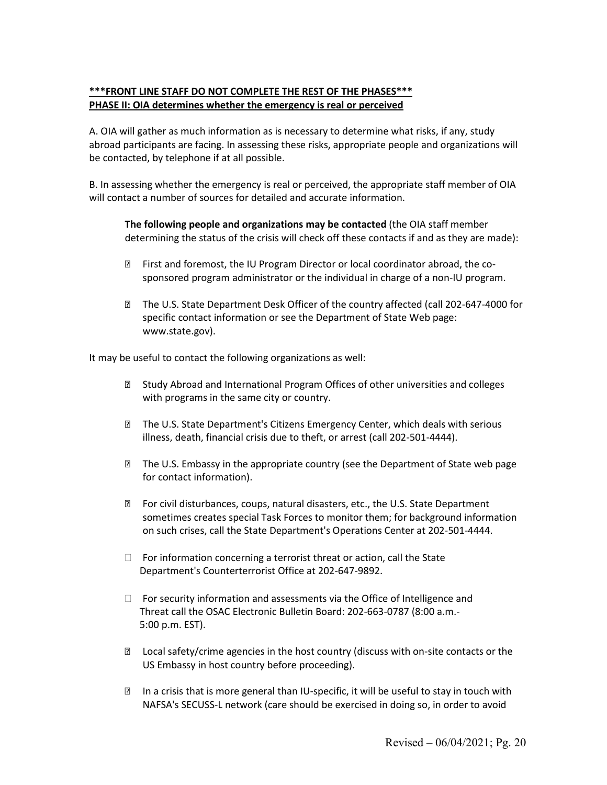# **\*\*\*FRONT LINE STAFF DO NOT COMPLETE THE REST OF THE PHASES\*\*\* PHASE II: OIA determines whether the emergency is real or perceived**

A. OIA will gather as much information as is necessary to determine what risks, if any, study abroad participants are facing. In assessing these risks, appropriate people and organizations will be contacted, by telephone if at all possible.

B. In assessing whether the emergency is real or perceived, the appropriate staff member of OIA will contact a number of sources for detailed and accurate information.

**The following people and organizations may be contacted** (the OIA staff member determining the status of the crisis will check off these contacts if and as they are made):

- First and foremost, the IU Program Director or local coordinator abroad, the cosponsored program administrator or the individual in charge of a non-IU program.
- The U.S. State Department Desk Officer of the country affected (call 202-647-4000 for specific contact information or see the Department of State Web page: www.state.gov).

It may be useful to contact the following organizations as well:

- Study Abroad and International Program Offices of other universities and colleges with programs in the same city or country.
- The U.S. State Department's Citizens Emergency Center, which deals with serious illness, death, financial crisis due to theft, or arrest (call 202-501-4444).
- The U.S. Embassy in the appropriate country (see the Department of State web page for contact information).
- For civil disturbances, coups, natural disasters, etc., the U.S. State Department sometimes creates special Task Forces to monitor them; for background information on such crises, call the State Department's Operations Center at 202-501-4444.
- $\Box$  For information concerning a terrorist threat or action, call the State Department's Counterterrorist Office at 202-647-9892.
- $\Box$  For security information and assessments via the Office of Intelligence and Threat call the OSAC Electronic Bulletin Board: 202-663-0787 (8:00 a.m.- 5:00 p.m. EST).
- Local safety/crime agencies in the host country (discuss with on-site contacts or the US Embassy in host country before proceeding).
- In a crisis that is more general than IU-specific, it will be useful to stay in touch with NAFSA's SECUSS-L network (care should be exercised in doing so, in order to avoid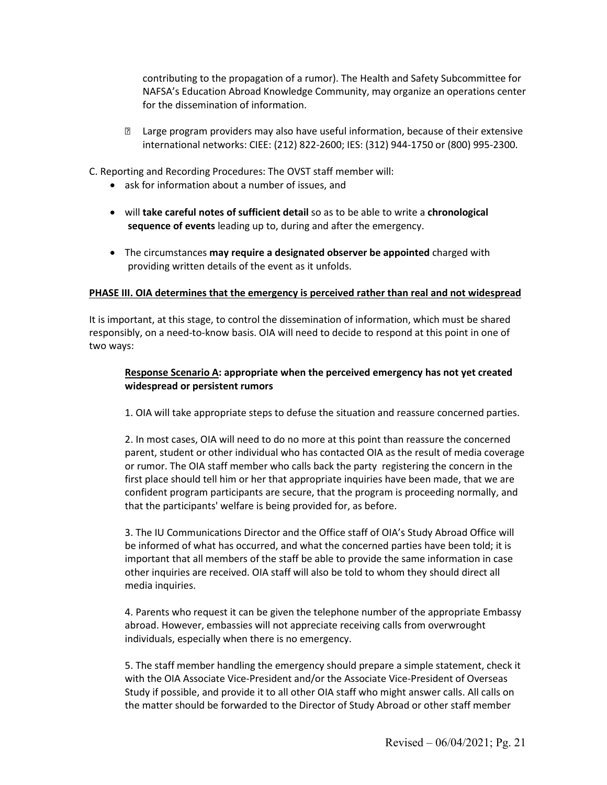contributing to the propagation of a rumor). The Health and Safety Subcommittee for NAFSA's Education Abroad Knowledge Community, may organize an operations center for the dissemination of information.

 Large program providers may also have useful information, because of their extensive international networks: CIEE: (212) 822-2600; IES: (312) 944-1750 or (800) 995-2300.

C. Reporting and Recording Procedures: The OVST staff member will:

- ask for information about a number of issues, and
- will **take careful notes of sufficient detail** so as to be able to write a **chronological sequence of events** leading up to, during and after the emergency.
- The circumstances **may require a designated observer be appointed** charged with providing written details of the event as it unfolds.

# **PHASE III. OIA determines that the emergency is perceived rather than real and not widespread**

It is important, at this stage, to control the dissemination of information, which must be shared responsibly, on a need-to-know basis. OIA will need to decide to respond at this point in one of two ways:

# **Response Scenario A: appropriate when the perceived emergency has not yet created widespread or persistent rumors**

1. OIA will take appropriate steps to defuse the situation and reassure concerned parties.

2. In most cases, OIA will need to do no more at this point than reassure the concerned parent, student or other individual who has contacted OIA as the result of media coverage or rumor. The OIA staff member who calls back the party registering the concern in the first place should tell him or her that appropriate inquiries have been made, that we are confident program participants are secure, that the program is proceeding normally, and that the participants' welfare is being provided for, as before.

3. The IU Communications Director and the Office staff of OIA's Study Abroad Office will be informed of what has occurred, and what the concerned parties have been told; it is important that all members of the staff be able to provide the same information in case other inquiries are received. OIA staff will also be told to whom they should direct all media inquiries.

4. Parents who request it can be given the telephone number of the appropriate Embassy abroad. However, embassies will not appreciate receiving calls from overwrought individuals, especially when there is no emergency.

5. The staff member handling the emergency should prepare a simple statement, check it with the OIA Associate Vice-President and/or the Associate Vice-President of Overseas Study if possible, and provide it to all other OIA staff who might answer calls. All calls on the matter should be forwarded to the Director of Study Abroad or other staff member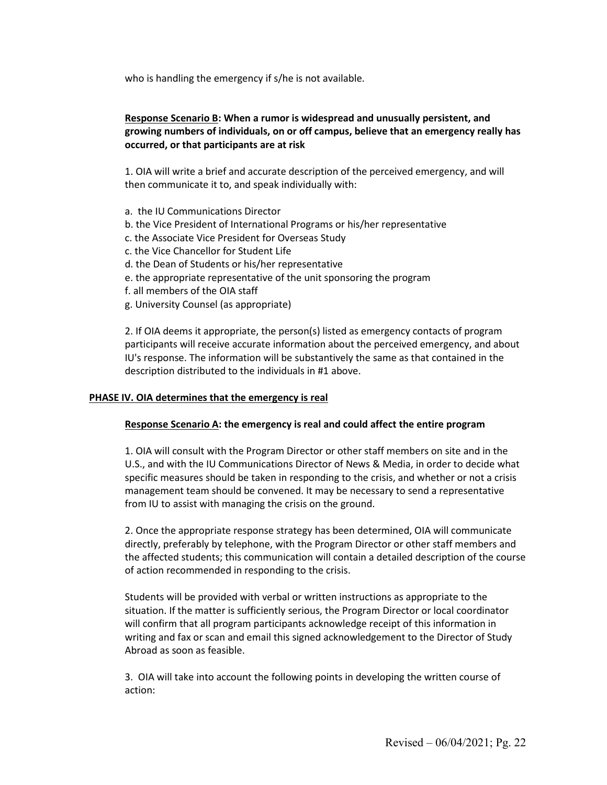who is handling the emergency if s/he is not available.

# **Response Scenario B: When a rumor is widespread and unusually persistent, and growing numbers of individuals, on or off campus, believe that an emergency really has occurred, or that participants are at risk**

1. OIA will write a brief and accurate description of the perceived emergency, and will then communicate it to, and speak individually with:

- a. the IU Communications Director
- b. the Vice President of International Programs or his/her representative
- c. the Associate Vice President for Overseas Study
- c. the Vice Chancellor for Student Life
- d. the Dean of Students or his/her representative
- e. the appropriate representative of the unit sponsoring the program
- f. all members of the OIA staff
- g. University Counsel (as appropriate)

2. If OIA deems it appropriate, the person(s) listed as emergency contacts of program participants will receive accurate information about the perceived emergency, and about IU's response. The information will be substantively the same as that contained in the description distributed to the individuals in #1 above.

# **PHASE IV. OIA determines that the emergency is real**

# **Response Scenario A: the emergency is real and could affect the entire program**

1. OIA will consult with the Program Director or other staff members on site and in the U.S., and with the IU Communications Director of News & Media, in order to decide what specific measures should be taken in responding to the crisis, and whether or not a crisis management team should be convened. It may be necessary to send a representative from IU to assist with managing the crisis on the ground.

2. Once the appropriate response strategy has been determined, OIA will communicate directly, preferably by telephone, with the Program Director or other staff members and the affected students; this communication will contain a detailed description of the course of action recommended in responding to the crisis.

Students will be provided with verbal or written instructions as appropriate to the situation. If the matter is sufficiently serious, the Program Director or local coordinator will confirm that all program participants acknowledge receipt of this information in writing and fax or scan and email this signed acknowledgement to the Director of Study Abroad as soon as feasible.

3. OIA will take into account the following points in developing the written course of action: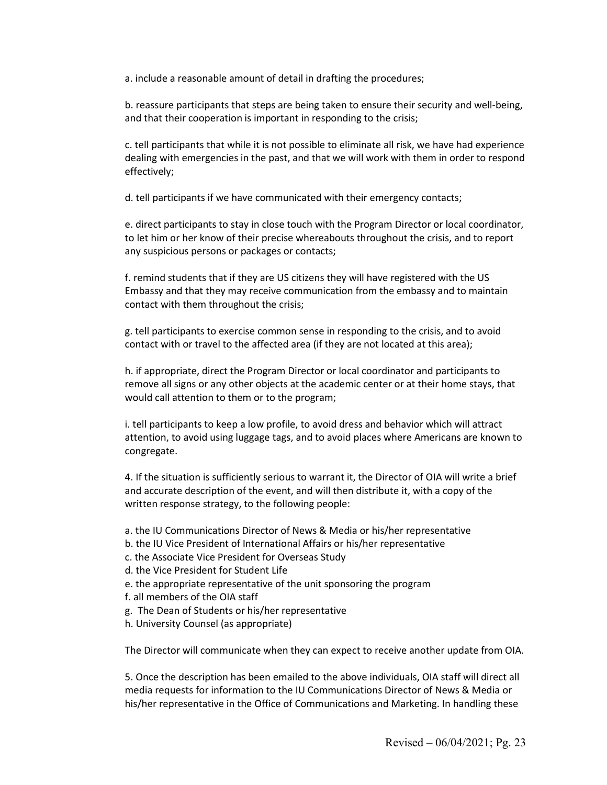a. include a reasonable amount of detail in drafting the procedures;

b. reassure participants that steps are being taken to ensure their security and well-being, and that their cooperation is important in responding to the crisis;

c. tell participants that while it is not possible to eliminate all risk, we have had experience dealing with emergencies in the past, and that we will work with them in order to respond effectively;

d. tell participants if we have communicated with their emergency contacts;

e. direct participants to stay in close touch with the Program Director or local coordinator, to let him or her know of their precise whereabouts throughout the crisis, and to report any suspicious persons or packages or contacts;

f. remind students that if they are US citizens they will have registered with the US Embassy and that they may receive communication from the embassy and to maintain contact with them throughout the crisis;

g. tell participants to exercise common sense in responding to the crisis, and to avoid contact with or travel to the affected area (if they are not located at this area);

h. if appropriate, direct the Program Director or local coordinator and participants to remove all signs or any other objects at the academic center or at their home stays, that would call attention to them or to the program;

i. tell participants to keep a low profile, to avoid dress and behavior which will attract attention, to avoid using luggage tags, and to avoid places where Americans are known to congregate.

4. If the situation is sufficiently serious to warrant it, the Director of OIA will write a brief and accurate description of the event, and will then distribute it, with a copy of the written response strategy, to the following people:

a. the IU Communications Director of News & Media or his/her representative

- b. the IU Vice President of International Affairs or his/her representative
- c. the Associate Vice President for Overseas Study
- d. the Vice President for Student Life
- e. the appropriate representative of the unit sponsoring the program
- f. all members of the OIA staff
- g. The Dean of Students or his/her representative
- h. University Counsel (as appropriate)

The Director will communicate when they can expect to receive another update from OIA.

5. Once the description has been emailed to the above individuals, OIA staff will direct all media requests for information to the IU Communications Director of News & Media or his/her representative in the Office of Communications and Marketing. In handling these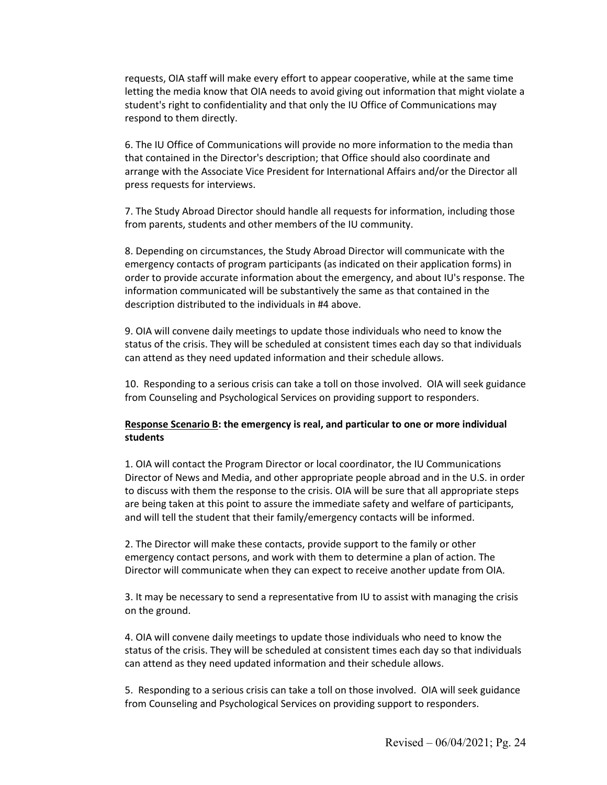requests, OIA staff will make every effort to appear cooperative, while at the same time letting the media know that OIA needs to avoid giving out information that might violate a student's right to confidentiality and that only the IU Office of Communications may respond to them directly.

6. The IU Office of Communications will provide no more information to the media than that contained in the Director's description; that Office should also coordinate and arrange with the Associate Vice President for International Affairs and/or the Director all press requests for interviews.

7. The Study Abroad Director should handle all requests for information, including those from parents, students and other members of the IU community.

8. Depending on circumstances, the Study Abroad Director will communicate with the emergency contacts of program participants (as indicated on their application forms) in order to provide accurate information about the emergency, and about IU's response. The information communicated will be substantively the same as that contained in the description distributed to the individuals in #4 above.

9. OIA will convene daily meetings to update those individuals who need to know the status of the crisis. They will be scheduled at consistent times each day so that individuals can attend as they need updated information and their schedule allows.

10. Responding to a serious crisis can take a toll on those involved. OIA will seek guidance from Counseling and Psychological Services on providing support to responders.

# **Response Scenario B: the emergency is real, and particular to one or more individual students**

1. OIA will contact the Program Director or local coordinator, the IU Communications Director of News and Media, and other appropriate people abroad and in the U.S. in order to discuss with them the response to the crisis. OIA will be sure that all appropriate steps are being taken at this point to assure the immediate safety and welfare of participants, and will tell the student that their family/emergency contacts will be informed.

2. The Director will make these contacts, provide support to the family or other emergency contact persons, and work with them to determine a plan of action. The Director will communicate when they can expect to receive another update from OIA.

3. It may be necessary to send a representative from IU to assist with managing the crisis on the ground.

4. OIA will convene daily meetings to update those individuals who need to know the status of the crisis. They will be scheduled at consistent times each day so that individuals can attend as they need updated information and their schedule allows.

5. Responding to a serious crisis can take a toll on those involved. OIA will seek guidance from Counseling and Psychological Services on providing support to responders.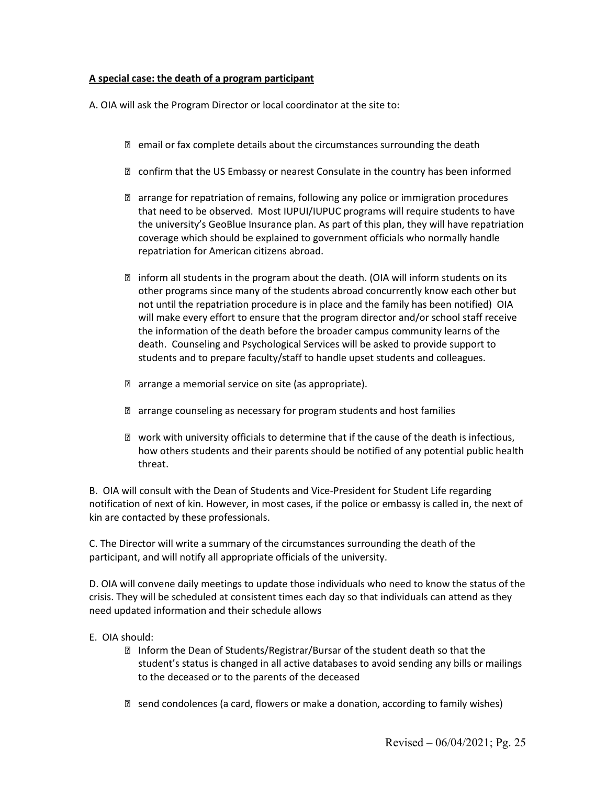# **A special case: the death of a program participant**

A. OIA will ask the Program Director or local coordinator at the site to:

- $\mathbb D$  email or fax complete details about the circumstances surrounding the death
- **Z** confirm that the US Embassy or nearest Consulate in the country has been informed
- $\mathbb D$  arrange for repatriation of remains, following any police or immigration procedures that need to be observed. Most IUPUI/IUPUC programs will require students to have the university's GeoBlue Insurance plan. As part of this plan, they will have repatriation coverage which should be explained to government officials who normally handle repatriation for American citizens abroad.
- $\mathbb D$  inform all students in the program about the death. (OIA will inform students on its other programs since many of the students abroad concurrently know each other but not until the repatriation procedure is in place and the family has been notified) OIA will make every effort to ensure that the program director and/or school staff receive the information of the death before the broader campus community learns of the death. Counseling and Psychological Services will be asked to provide support to students and to prepare faculty/staff to handle upset students and colleagues.
- **E** arrange a memorial service on site (as appropriate).
- $\mathbb D$  arrange counseling as necessary for program students and host families
- work with university officials to determine that if the cause of the death is infectious, how others students and their parents should be notified of any potential public health threat.

B. OIA will consult with the Dean of Students and Vice-President for Student Life regarding notification of next of kin. However, in most cases, if the police or embassy is called in, the next of kin are contacted by these professionals.

C. The Director will write a summary of the circumstances surrounding the death of the participant, and will notify all appropriate officials of the university.

D. OIA will convene daily meetings to update those individuals who need to know the status of the crisis. They will be scheduled at consistent times each day so that individuals can attend as they need updated information and their schedule allows

- E. OIA should:
	- Inform the Dean of Students/Registrar/Bursar of the student death so that the student's status is changed in all active databases to avoid sending any bills or mailings to the deceased or to the parents of the deceased
	- $\mathbb B$  send condolences (a card, flowers or make a donation, according to family wishes)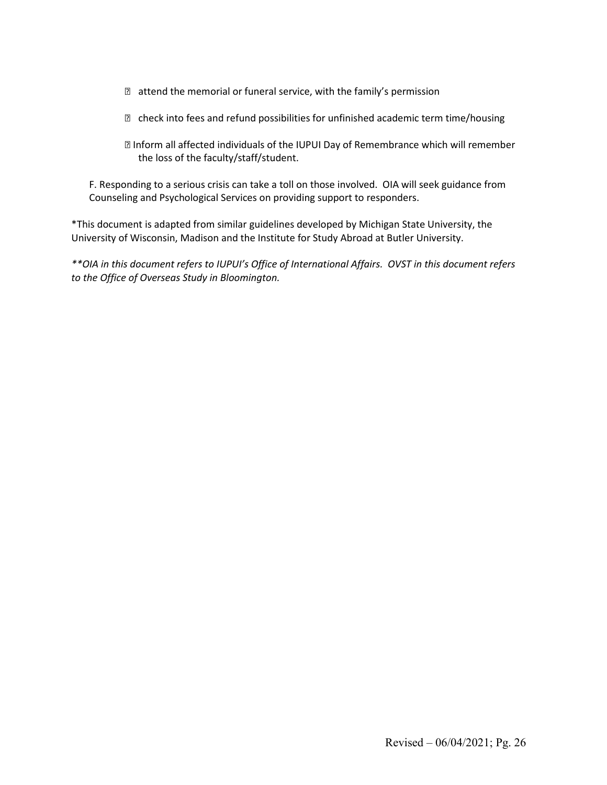- $\mathbb D$  attend the memorial or funeral service, with the family's permission
- $\mathbb D$  check into fees and refund possibilities for unfinished academic term time/housing
- Inform all affected individuals of the IUPUI Day of Remembrance which will remember the loss of the faculty/staff/student.

F. Responding to a serious crisis can take a toll on those involved. OIA will seek guidance from Counseling and Psychological Services on providing support to responders.

\*This document is adapted from similar guidelines developed by Michigan State University, the University of Wisconsin, Madison and the Institute for Study Abroad at Butler University.

*\*\*OIA in this document refers to IUPUI's Office of International Affairs. OVST in this document refers to the Office of Overseas Study in Bloomington.*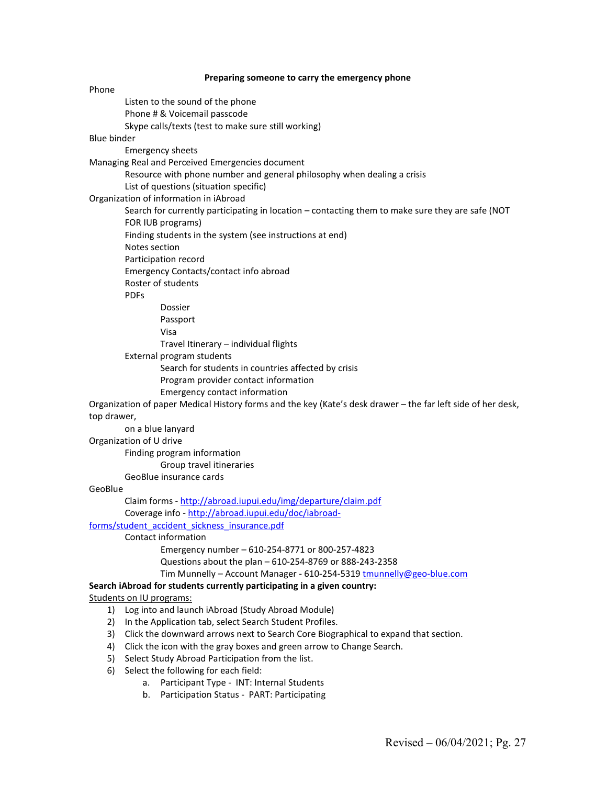**Preparing someone to carry the emergency phone** Phone Listen to the sound of the phone Phone # & Voicemail passcode Skype calls/texts (test to make sure still working) Blue binder Emergency sheets Managing Real and Perceived Emergencies document Resource with phone number and general philosophy when dealing a crisis List of questions (situation specific) Organization of information in iAbroad Search for currently participating in location – contacting them to make sure they are safe (NOT FOR IUB programs) Finding students in the system (see instructions at end) Notes section Participation record Emergency Contacts/contact info abroad Roster of students PDFs Dossier Passport Visa Travel Itinerary – individual flights External program students Search for students in countries affected by crisis Program provider contact information Emergency contact information Organization of paper Medical History forms and the key (Kate's desk drawer – the far left side of her desk, top drawer, on a blue lanyard Organization of U drive Finding program information Group travel itineraries GeoBlue insurance cards GeoBlue Claim forms - <http://abroad.iupui.edu/img/departure/claim.pdf> Coverage info - [http://abroad.iupui.edu/doc/iabroad](http://abroad.iupui.edu/doc/iabroad-forms/student_accident_sickness_insurance.pdf)[forms/student\\_accident\\_sickness\\_insurance.pdf](http://abroad.iupui.edu/doc/iabroad-forms/student_accident_sickness_insurance.pdf) Contact information Emergency number – 610-254-8771 or 800-257-4823 Questions about the plan – 610-254-8769 or 888-243-2358 Tim Munnelly – Account Manager - 610-254-5319 [tmunnelly@geo-blue.com](mailto:tmunnelly@geo-blue.com) **Search iAbroad for students currently participating in a given country:** Students on IU programs: 1) Log into and launch iAbroad (Study Abroad Module) 2) In the Application tab, select Search Student Profiles. 3) Click the downward arrows next to Search Core Biographical to expand that section. 4) Click the icon with the gray boxes and green arrow to Change Search. 5) Select Study Abroad Participation from the list. 6) Select the following for each field:

- a. Participant Type INT: Internal Students
- b. Participation Status PART: Participating